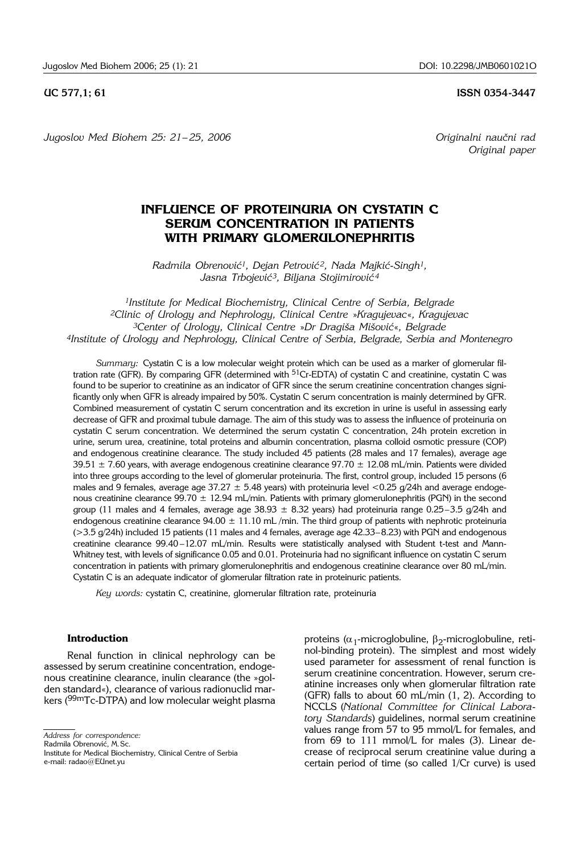**UC 577.1: 61 ISSN 0354-3447** 

Jugoslov Med Biohem 25: 21-25, 2006 **Carl and Alexandri Constanting Constanting Constanting Constanting Constanting Constanting Constanting Constanting Constanting Constanting Constanting Constanting Constanting Constantin** 

*Original paper*

# **INFLUENCE OF PROTEINURIA ON CYSTATIN C SERUM CONCENTRATION IN PATIENTS WITH PRIMARY GLOMERULONEPHRITIS**

*Radmila Obrenovi}1, Dejan Petrovi} 2, Nada Majki}*-*Singh1, Jasna Trbojevi}3, Biljana Stojimirovi} <sup>4</sup>*

*1Institute for Medical Biochemistry, Clinical Centre of Serbia, Belgrade 2Clinic of Urology and Nephrology, Clinical Centre* »*Kragujevac*«*, Kragujevac 3Center of Urology, Clinical Centre* »*Dr Dragi{a Mi{ovi}*«*, Belgrade 4Institute of Urology and Nephrology, Clinical Centre of Serbia, Belgrade, Serbia and Montenegro*

*Summary:* Cystatin C is a low molecular weight protein which can be used as a marker of glomerular filtration rate (GFR). By comparing GFR (determined with  $51Cr$ -EDTA) of cystatin C and creatinine, cystatin C was found to be superior to creatinine as an indicator of GFR since the serum creatinine concentration changes significantly only when GFR is already impaired by 50%. Cystatin C serum concentration is mainly determined by GFR. Combined measurement of cystatin C serum concentration and its excretion in urine is useful in assessing early decrease of GFR and proximal tubule damage. The aim of this study was to assess the influence of proteinuria on cystatin C serum concentration. We determined the serum cystatin C concentration, 24h protein excretion in urine, serum urea, creatinine, total proteins and albumin concentration, plasma colloid osmotic pressure (COP) and endogenous creatinine clearance. The study included 45 patients (28 males and 17 females), average age 39.51  $\pm$  7.60 years, with average endogenous creatinine clearance 97.70  $\pm$  12.08 mL/min. Patients were divided into three groups according to the level of glomerular proteinuria. The first, control group, included 15 persons (6 males and 9 females, average age 37.27  $\pm$  5.48 years) with proteinuria level <0.25 g/24h and average endogenous creatinine clearance 99.70  $\pm$  12.94 mL/min. Patients with primary glomerulonephritis (PGN) in the second group (11 males and 4 females, average age  $38.93 \pm 8.32$  years) had proteinuria range 0.25–3.5 g/24h and endogenous creatinine clearance  $94.00 \pm 11.10$  mL/min. The third group of patients with nephrotic proteinuria (>3.5 g/24h) included 15 patients (11 males and 4 females, average age 42.33–8.23) with PGN and endogenous creatinine clearance 99.40 –12.07 mL/min. Results were statistically analysed with Student t-test and Mann-Whitney test, with levels of significance 0.05 and 0.01. Proteinuria had no significant influence on cystatin C serum concentration in patients with primary glomerulonephritis and endogenous creatinine clearance over 80 mL/min. Cystatin C is an adequate indicator of glomerular filtration rate in proteinuric patients.

*Key words:* cystatin C, creatinine, glomerular filtration rate, proteinuria

### **Introduction**

Renal function in clinical nephrology can be assessed by serum creatinine concentration, endogenous creatinine clearance, inulin clearance (the »golden standard«), clearance of various radionuclid markers (<sup>99m</sup>Tc-DTPA) and low molecular weight plasma

Radmila Obrenović, M.Sc.

Institute for Medical Biochemistry, Clinical Centre of Serbia e-mail: radao@EUnet.yu

proteins ( $\alpha_1$ -microglobuline,  $\beta_2$ -microglobuline, retinol-binding protein). The simplest and most widely used parameter for assessment of renal function is serum creatinine concentration. However, serum creatinine increases only when glomerular filtration rate (GFR) falls to about 60 mL/min (1, 2). According to NCCLS (*National Committee for Clinical Laboratory Standards*) guidelines, normal serum creatinine values range from 57 to 95 mmol/L for females, and from 69 to 111 mmol/L for males (3). Linear decrease of reciprocal serum creatinine value during a certain period of time (so called 1/Cr curve) is used

*Address for correspondence:*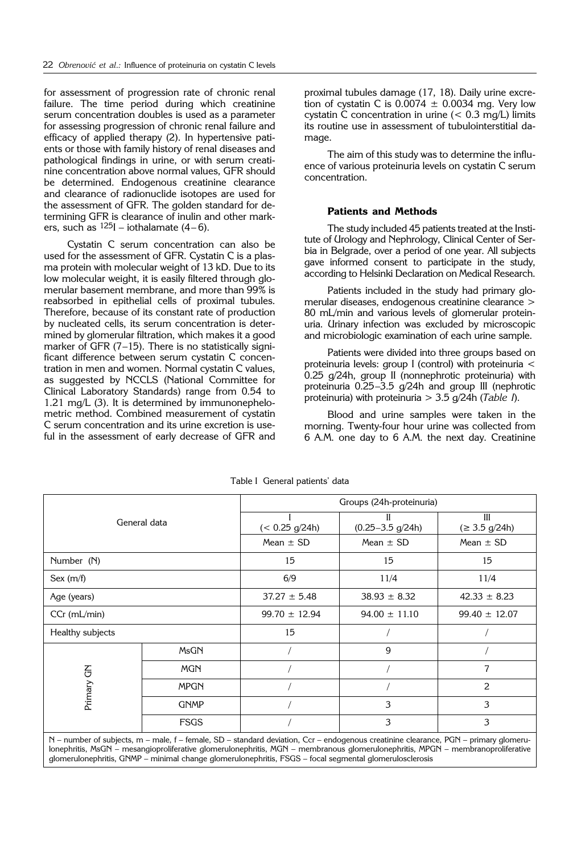for assessment of progression rate of chronic renal failure. The time period during which creatinine serum concentration doubles is used as a parameter for assessing progression of chronic renal failure and efficacy of applied therapy (2). In hypertensive patients or those with family history of renal diseases and pathological findings in urine, or with serum creatinine concentration above normal values, GFR should be determined. Endogenous creatinine clearance and clearance of radionuclide isotopes are used for the assessment of GFR. The golden standard for determining GFR is clearance of inulin and other markers, such as  $^{125}$ I – iothalamate (4–6).

Cystatin C serum concentration can also be used for the assessment of GFR. Cystatin C is a plasma protein with molecular weight of 13 kD. Due to its low molecular weight, it is easily filtered through glomerular basement membrane, and more than 99% is reabsorbed in epithelial cells of proximal tubules. Therefore, because of its constant rate of production by nucleated cells, its serum concentration is determined by glomerular filtration, which makes it a good marker of GFR (7–15). There is no statistically significant difference between serum cystatin C concentration in men and women. Normal cystatin C values, as suggested by NCCLS (National Committee for Clinical Laboratory Standards) range from 0.54 to 1.21 mg/L (3). It is determined by immunonephelometric method. Combined measurement of cystatin C serum concentration and its urine excretion is useful in the assessment of early decrease of GFR and proximal tubules damage (17, 18). Daily urine excretion of cystatin C is  $0.0074 \pm 0.0034$  mg. Very low cystatin  $\tilde{C}$  concentration in urine (< 0.3 mg/L) limits its routine use in assessment of tubulointerstitial damage.

The aim of this study was to determine the influence of various proteinuria levels on cystatin C serum concentration.

#### **Patients and Methods**

The study included 45 patients treated at the Institute of Urology and Nephrology, Clinical Center of Serbia in Belgrade, over a period of one year. All subjects gave informed consent to participate in the study, according to Helsinki Declaration on Medical Research.

Patients included in the study had primary glomerular diseases, endogenous creatinine clearance > 80 mL/min and various levels of glomerular proteinuria. Urinary infection was excluded by microscopic and microbiologic examination of each urine sample.

Patients were divided into three groups based on proteinuria levels: group I (control) with proteinuria < 0.25 g/24h, group II (nonnephrotic proteinuria) with proteinuria 0.25–3.5 g/24h and group III (nephrotic proteinuria) with proteinuria > 3.5 g/24h (*Table I*).

Blood and urine samples were taken in the morning. Twenty-four hour urine was collected from 6 A.M. one day to 6 A.M. the next day. Creatinine

| General data     |             | Groups (24h-proteinuria)                                                                                                                                                                                                                                                                                                                                                           |                            |                                     |
|------------------|-------------|------------------------------------------------------------------------------------------------------------------------------------------------------------------------------------------------------------------------------------------------------------------------------------------------------------------------------------------------------------------------------------|----------------------------|-------------------------------------|
|                  |             | $(< 0.25$ g/24h)                                                                                                                                                                                                                                                                                                                                                                   | Н<br>$(0.25 - 3.5)$ g/24h) | III<br>$( \geq 3.5 \text{ g}/24h )$ |
|                  |             | Mean $\pm$ SD                                                                                                                                                                                                                                                                                                                                                                      | Mean $\pm$ SD              | Mean $\pm$ SD                       |
| Number (N)       |             | 15                                                                                                                                                                                                                                                                                                                                                                                 | 15                         | 15                                  |
| Sex (m/f)        |             | 6/9                                                                                                                                                                                                                                                                                                                                                                                | 11/4                       | 11/4                                |
| Age (years)      |             | $37.27 \pm 5.48$                                                                                                                                                                                                                                                                                                                                                                   | $38.93 \pm 8.32$           | $42.33 \pm 8.23$                    |
| $CCr$ (mL/min)   |             | $99.70 \pm 12.94$                                                                                                                                                                                                                                                                                                                                                                  | $94.00 \pm 11.10$          | $99.40 \pm 12.07$                   |
| Healthy subjects |             | 15                                                                                                                                                                                                                                                                                                                                                                                 |                            |                                     |
| Primary GN       | MsGN        |                                                                                                                                                                                                                                                                                                                                                                                    | 9                          |                                     |
|                  | <b>MGN</b>  |                                                                                                                                                                                                                                                                                                                                                                                    |                            | 7                                   |
|                  | <b>MPGN</b> |                                                                                                                                                                                                                                                                                                                                                                                    |                            | 2                                   |
|                  | <b>GNMP</b> |                                                                                                                                                                                                                                                                                                                                                                                    | 3                          | 3                                   |
|                  | <b>FSGS</b> |                                                                                                                                                                                                                                                                                                                                                                                    | 3                          | 3                                   |
|                  |             | N – number of subjects, m – male, f – female, SD – standard deviation, Ccr – endogenous creatinine clearance, PGN – primary glomeru-<br>lonephritis, MsGN – mesangioproliferative glomerulonephritis, MGN – membranous glomerulonephritis, MPGN – membranoproliferative<br>glomerulonephritis, GNMP – minimal change glomerulonephritis, FSGS – focal segmental glomerulosclerosis |                            |                                     |

Table I General patients' data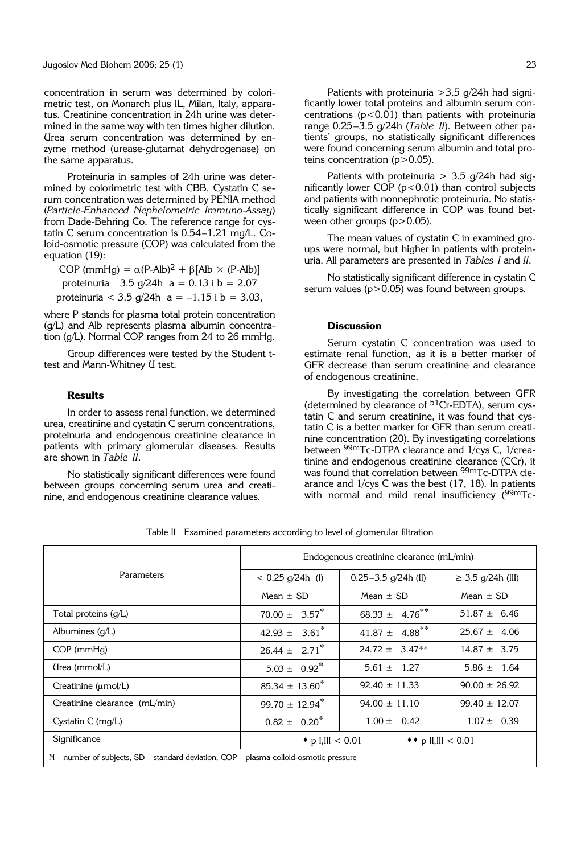concentration in serum was determined by colorimetric test, on Monarch plus IL, Milan, Italy, apparatus. Creatinine concentration in 24h urine was determined in the same way with ten times higher dilution. Urea serum concentration was determined by enzyme method (urease-glutamat dehydrogenase) on the same apparatus.

Proteinuria in samples of 24h urine was determined by colorimetric test with CBB. Cystatin C serum concentration was determined by PENIA method (*Particle*-*Enhanced Nephelometric Immuno*-*Assay*) from Dade-Behring Co. The reference range for cystatin C serum concentration is 0.54–1.21 mg/L. Coloid-osmotic pressure (COP) was calculated from the equation (19):

COP (mmHg) =  $\alpha$ (P-Alb)<sup>2</sup> +  $\beta$ [Alb × (P-Alb)] proteinuria  $3.5 \frac{\text{g}}{24h}$  a = 0.13 i b = 2.07 proteinuria <  $3.5$  g/24h a =  $-1.15$  i b =  $3.03$ ,

where P stands for plasma total protein concentration (g/L) and Alb represents plasma albumin concentration (g/L). Normal COP ranges from 24 to 26 mmHg.

Group differences were tested by the Student ttest and Mann-Whitney U test.

#### **Results**

In order to assess renal function, we determined urea, creatinine and cystatin C serum concentrations, proteinuria and endogenous creatinine clearance in patients with primary glomerular diseases. Results are shown in *Table II*.

No statistically significant differences were found between groups concerning serum urea and creatinine, and endogenous creatinine clearance values.

Patients with proteinuria  $>$ 3.5 g/24h had significantly lower total proteins and albumin serum concentrations  $(p<0.01)$  than patients with proteinuria range 0.25-3.5 g/24h (Table II). Between other patients' groups, no statistically significant differences were found concerning serum albumin and total proteins concentration  $(p>0.05)$ .

Patients with proteinuria  $>$  3.5 g/24h had significantly lower COP  $(p<0.01)$  than control subjects and patients with nonnephrotic proteinuria. No statistically significant difference in COP was found between other groups  $(p>0.05)$ .

The mean values of cystatin C in examined groups were normal, but higher in patients with proteinuria. All parameters are presented in *Tables I* and *II*.

No statistically significant difference in cystatin C serum values ( $p > 0.05$ ) was found between groups.

### **Discussion**

Serum cystatin C concentration was used to estimate renal function, as it is a better marker of GFR decrease than serum creatinine and clearance of endogenous creatinine.

By investigating the correlation between GFR (determined by clearance of 51Cr-EDTA), serum cystatin C and serum creatinine, it was found that cystatin C is a better marker for GFR than serum creatinine concentration (20). By investigating correlations between 99mTc-DTPA clearance and 1/cys C, 1/creatinine and endogenous creatinine clearance (CCr), it was found that correlation between <sup>99m</sup>Tc-DTPA clearance and 1/cys C was the best (17, 18). In patients with normal and mild renal insufficiency  $(^{99}$ mTc-

|                                                                                        | Endogenous creatinine clearance (mL/min)       |                                |                        |  |  |
|----------------------------------------------------------------------------------------|------------------------------------------------|--------------------------------|------------------------|--|--|
| <b>Parameters</b>                                                                      | $< 0.25$ g/24h (I)                             | $0.25 - 3.5$ g/24h (II)        | $\geq$ 3.5 g/24h (III) |  |  |
|                                                                                        | Mean $\pm$ SD                                  | Mean $\pm$ SD                  | Mean $\pm$ SD          |  |  |
| Total proteins $(g/L)$                                                                 | $70.00 \pm 3.57^*$                             | 68.33 $\pm$ 4.76 <sup>**</sup> | $51.87 \pm 6.46$       |  |  |
| Albumines $(q/L)$                                                                      | $42.93 \pm 3.61^*$                             | $41.87 \pm 4.88$ <sup>**</sup> | $25.67 \pm 4.06$       |  |  |
| $COP$ (mm $Hg$ )                                                                       | $26.44 \pm 2.71$ <sup>*</sup>                  | $24.72 \pm 3.47**$             | $14.87 \pm 3.75$       |  |  |
| (Irea (mmol/L)                                                                         | $5.03 \pm 0.92^*$                              | $5.61 \pm 1.27$                | $5.86 \pm 1.64$        |  |  |
| Creatinine $(\mu \text{mol/L})$                                                        | $85.34 \pm 13.60^*$                            | $92.40 \pm 11.33$              | $90.00 \pm 26.92$      |  |  |
| Creatinine clearance (mL/min)                                                          | $99.70 \pm 12.94$ <sup>*</sup>                 | $94.00 \pm 11.10$              | $99.40 \pm 12.07$      |  |  |
| Cystatin C $(mq/L)$                                                                    | $0.82 \pm 0.20^*$                              | $1.00 \pm 0.42$                | $1.07 \pm 0.39$        |  |  |
| Significance                                                                           | • p I,III < 0.01<br>◆ <b>+</b> p II,III < 0.01 |                                |                        |  |  |
| N – number of subjects, SD – standard deviation, COP – plasma colloid-osmotic pressure |                                                |                                |                        |  |  |

Table II Examined parameters according to level of glomerular filtration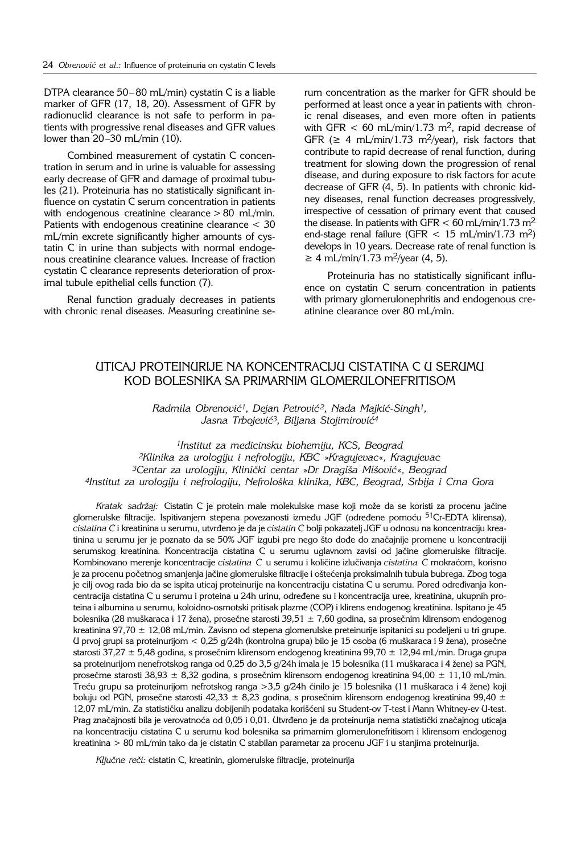DTPA clearance  $50-80$  mL/min) cystatin C is a liable marker of GFR (17, 18, 20). Assessment of GFR by radionuclid clearance is not safe to perform in patients with progressive renal diseases and GFR values lower than  $20-30$  mL/min (10).

Combined measurement of cystatin C concentration in serum and in urine is valuable for assessing early decrease of GFR and damage of proximal tubules (21). Proteinuria has no statistically significant influence on cystatin C serum concentration in patients with endogenous creatinine clearance > 80 mL/min. Patients with endogenous creatinine clearance < 30 mL/min excrete significantly higher amounts of cystatin C in urine than subjects with normal endogenous creatinine clearance values. Increase of fraction cystatin C clearance represents deterioration of proximal tubule epithelial cells function (7).

Renal function gradualy decreases in patients with chronic renal diseases. Measuring creatinine serum concentration as the marker for GFR should be performed at least once a year in patients with chronic renal diseases, and even more often in patients with GFR  $< 60$  mL/min/1.73 m<sup>2</sup>, rapid decrease of GFR ( $\geq$  4 mL/min/1.73 m<sup>2</sup>/year), risk factors that contribute to rapid decrease of renal function, during treatment for slowing down the progression of renal disease, and during exposure to risk factors for acute decrease of GFR (4, 5). In patients with chronic kidney diseases, renal function decreases progressively, irrespective of cessation of primary event that caused the disease. In patients with GFR  $<$  60 mL/min/1.73 m<sup>2</sup> end-stage renal failure (GFR  $<$  15 mL/min/1.73 m<sup>2</sup>) develops in 10 years. Decrease rate of renal function is  $≥ 4$  mL/min/1.73 m<sup>2</sup>/year (4, 5).

Proteinuria has no statistically significant influence on cystatin C serum concentration in patients with primary glomerulonephritis and endogenous creatinine clearance over 80 mL/min.

## UTICAJ PROTEINURIJE NA KONCENTRACIJU CISTATINA C U SERUMU KOD BOLESNIKA SA PRIMARNIM GLOMERULONEFRITISOM

*Radmila Obrenović<sup>1</sup>, Dejan Petrović<sup>2</sup>, Nada Majkić-Singh<sup>1</sup>,* Jasna Trbojević<sup>3</sup>, Biljana Stojimirović<sup>4</sup>

*1Institut za medicinsku biohemiju, KCS, Beograd 2Klinika za urologiju i nefrologiju, KBC* »*Kragujevac*«*, Kragujevac 3Centar za urologiju, Klini~ki centar* »*Dr Dragi{a Mi{ovi}*«*, Beograd 4Institut za urologiju i nefrologiju, Nefrolo{ka klinika, KBC, Beograd, Srbija i Crna Gora*

*Kratak sadržaj:* Cistatin C je protein male molekulske mase koji može da se koristi za procenu jačine glomerulske filtracije. Ispitivanjem stepena povezanosti između JGF (određene pomoću <sup>51</sup>Cr-EDTA klirensa), *cistatina C* i kreatinina u serumu, utvr|eno je da je *cistatin C* bolji pokazatelj JGF u odnosu na koncentraciju kreatinina u serumu jer je poznato da se 50% JGF izgubi pre nego što dođe do značajnije promene u koncentraciji serumskog kreatinina. Koncentracija cistatina C u serumu uglavnom zavisi od jačine glomerulske filtracije. Kombinovano merenje koncentracije *cistatina C* u serumu i količine izlučivanja *cistatina C* mokraćom, korisno je za procenu početnog smanjenja jačine glomerulske filtracije i oštećenja proksimalnih tubula bubrega. Zbog toga je cilj ovog rada bio da se ispita uticaj proteinurije na koncentraciju cistatina C u serumu. Pored određivanja koncentracija cistatina C u serumu i proteina u 24h urinu, određene su i koncentracija uree, kreatinina, ukupnih proteina i albumina u serumu, koloidno-osmotski pritisak plazme (COP) i klirens endogenog kreatinina. Ispitano je 45 bolesnika (28 muškaraca i 17 žena), prosečne starosti 39,51  $\pm$  7,60 godina, sa prosečnim klirensom endogenog kreatinina 97,70  $\pm$  12,08 mL/min. Zavisno od stepena glomerulske preteinurije ispitanici su podeljeni u tri grupe. U prvoj grupi sa proteinurijom < 0,25 g/24h (kontrolna grupa) bilo je 15 osoba (6 muškaraca i 9 žena), prosečne starosti 37,27  $\pm$  5,48 godina, s prosečnim klirensom endogenog kreatinina 99,70  $\pm$  12,94 mL/min. Druga grupa sa proteinurijom nenefrotskog ranga od 0,25 do 3,5 g/24h imala je 15 bolesnika (11 muškaraca i 4 žene) sa PGN, prosečme starosti 38,93  $\pm$  8,32 godina, s prosečnim klirensom endogenog kreatinina 94,00  $\pm$  11,10 mL/min. Treću grupu sa proteinurijom nefrotskog ranga >3,5 g/24h činilo je 15 bolesnika (11 muškaraca i 4 žene) koji boluju od PGN, prosečne starosti 42,33  $\pm$  8,23 godina, s prosečnim klirensom endogenog kreatinina 99,40  $\pm$ 12,07 mL/min. Za statističku analizu dobijenih podataka korišćeni su Student-ov T-test i Mann Whitney-ev U-test. Prag značajnosti bila je verovatnoća od 0,05 i 0,01. Utvrđeno je da proteinurija nema statistički značajnog uticaja na koncentraciju cistatina C u serumu kod bolesnika sa primarnim glomerulonefritisom i klirensom endogenog kreatinina > 80 mL/min tako da je cistatin C stabilan parametar za procenu JGF i u stanjima proteinurija.

Ključne reči: cistatin C, kreatinin, glomerulske filtracije, proteinurija